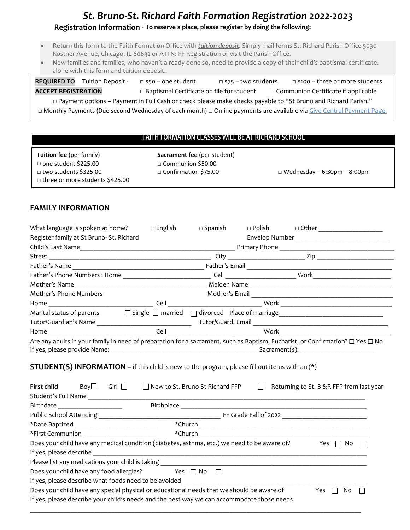## *St. Bruno-St. Richard Faith Formation Registration 2022-2023*

### **Registration Information - To reserve a place, please register by doing the following:**

- Return this form to the Faith Formation Office with *tuition deposit*. Simply mail forms St. Richard Parish Office 5030 Kostner Avenue, Chicago, IL 60632 or ATTN: FF Registration or visit the Parish Office.
- New families and families, who haven't already done so, need to provide a copy of their child's baptismal certificate. alone with this form and tuition deposit**.**

**REQUIRED TO** Tuition Deposit - □ \$50 – one student □ \$75 – two students □ \$100 – three or more students **ACCEPT REGISTRATION □** Baptismal Certificate on file for student **□** Communion Certificate if applicable

□ Payment options – Payment in Full Cash or check please make checks payable to "St Bruno and Richard Parish." □ Monthly Payments (Due second Wednesday of each month) □ Online payments are available via Give Central Payment Page.

#### **FAITH FORMATION CLASSES WILL BE AT RICHARD SCHOOL**

| <b>Tuition fee</b> (per family)   | <b>Sacrament fee (per student)</b> |                                    |
|-----------------------------------|------------------------------------|------------------------------------|
| $\Box$ one student \$225.00       | □ Communion \$50.00                |                                    |
| □ two students \$325.00           | $\Box$ Confirmation \$75.00        | $\Box$ Wednesday – 6:30pm – 8:00pm |
| □ three or more students \$425.00 |                                    |                                    |
|                                   |                                    |                                    |

#### **FAMILY INFORMATION**

|                                                                                                                                                                                         | What language is spoken at home? $\Box$ English | $\Box$ Spanish | $\Box$ Polish | □ Other ______________________                                               |  |
|-----------------------------------------------------------------------------------------------------------------------------------------------------------------------------------------|-------------------------------------------------|----------------|---------------|------------------------------------------------------------------------------|--|
| Register family at St Bruno- St. Richard                                                                                                                                                |                                                 |                |               |                                                                              |  |
|                                                                                                                                                                                         |                                                 |                |               |                                                                              |  |
|                                                                                                                                                                                         |                                                 |                |               |                                                                              |  |
|                                                                                                                                                                                         |                                                 |                |               |                                                                              |  |
|                                                                                                                                                                                         |                                                 |                |               |                                                                              |  |
|                                                                                                                                                                                         |                                                 |                |               |                                                                              |  |
| Mother's Phone Numbers                                                                                                                                                                  |                                                 |                |               |                                                                              |  |
|                                                                                                                                                                                         |                                                 |                |               |                                                                              |  |
| Marital status of parents □ Single □ married □ divorced Place of marriage _________________________                                                                                     |                                                 |                |               |                                                                              |  |
|                                                                                                                                                                                         |                                                 |                |               |                                                                              |  |
|                                                                                                                                                                                         |                                                 |                |               |                                                                              |  |
|                                                                                                                                                                                         |                                                 |                |               |                                                                              |  |
| <b>STUDENT(S) INFORMATION</b> – if this child is new to the program, please fill out items with an $(*)$<br><b>First child</b> $\qquad$ Boy $\Box$ Girl $\Box$                          |                                                 |                |               | □ New to St. Bruno-St Richard FFP □ Returning to St. B &R FFP from last year |  |
|                                                                                                                                                                                         |                                                 |                |               |                                                                              |  |
|                                                                                                                                                                                         |                                                 |                |               |                                                                              |  |
|                                                                                                                                                                                         |                                                 |                |               |                                                                              |  |
|                                                                                                                                                                                         |                                                 |                |               |                                                                              |  |
| Does your child have any medical condition (diabetes, asthma, etc.) we need to be aware of? $\Box$ Yes $\Box$ No                                                                        |                                                 |                |               |                                                                              |  |
|                                                                                                                                                                                         |                                                 |                |               |                                                                              |  |
|                                                                                                                                                                                         |                                                 |                |               |                                                                              |  |
| Does your child have any food allergies? $Yes \cap No \cap$                                                                                                                             |                                                 |                |               |                                                                              |  |
| Does your child have any special physical or educational needs that we should be aware of<br>If yes, please describe your child's needs and the best way we can accommodate those needs |                                                 |                |               | Yes $\Box$ No                                                                |  |